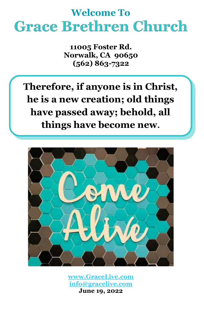# **Welcome To Grace Brethren Church**

**11005 Foster Rd. Norwalk, CA 90650 (562) 863-7322**

**Therefore, if anyone is in Christ, he is a new creation; old things have passed away; behold, all things have become new.**



**[www.GraceLive.com](http://www.gracelive.com/) [info@gracelive.com](mailto:info@gracelive.com)**

**June 19, 2022**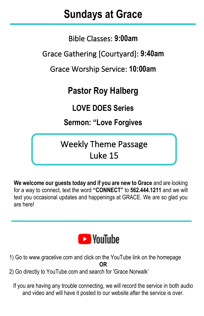## **Sundays at Grace**

I

Bible Classes: **9:00am**

Grace Gathering [Courtyard]: **9:40am**

Grace Worship Service: **10:00am**

## **Pastor Roy Halberg**

**LOVE DOES Series**

**Sermon: "Love Forgives**

Weekly Theme Passage Luke 15

**We welcome our guests today and if you are new to Grace** and are looking for a way to connect, text the word **"CONNECT"** to **562.444.1211** and we will text you occasional updates and happenings at GRACE. We are so glad you are here!



- 1) Go to [www.gracelive.com](https://mandrillapp.com/track/click/30119321/www.gracelive.com?p=eyJzIjoiVFlsX2d2Skp4NlhxZ2p4SURJd1BiQ3BjS2dNIiwidiI6MSwicCI6IntcInVcIjozMDExOTMyMSxcInZcIjoxLFwidXJsXCI6XCJodHRwOlxcXC9cXFwvd3d3LmdyYWNlbGl2ZS5jb21cIixcImlkXCI6XCI3ZDU3MmMyMmZkMmI0ZWJkYmQxODBiMWI4MTY1NDg0MlwiLFwidXJsX2lkc1wiOltcImUyMmY4ODVmYjE0YzEzNDBjMzk0N2UxN2E3MTRjYjZlNGI4ODE4N2VcIl19In0) and click on the YouTube link on the homepage **OR**
- 2) Go directly to YouTube.com and search for 'Grace Norwalk'

If you are having any trouble connecting, we will record the service in both audio and video and will have it posted to our website after the service is over.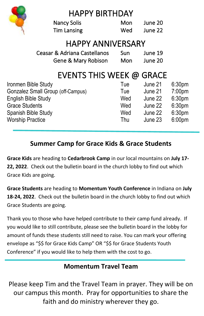|                                   | <b>HAPPY BIRTHDAY</b>        |     |         |                    |
|-----------------------------------|------------------------------|-----|---------|--------------------|
|                                   | <b>Nancy Solis</b>           | Mon | June 20 |                    |
|                                   | <b>Tim Lansing</b>           | Wed | June 22 |                    |
| <b>HAPPY ANNIVERSARY</b>          |                              |     |         |                    |
|                                   | Ceasar & Adriana Castellanos | Sun | June 19 |                    |
|                                   | Gene & Mary Robison          | Mon | June 20 |                    |
|                                   | EVENTS THIS WEEK @ GRACE     |     |         |                    |
| Ironmen Bible Study               |                              | Tue | June 21 | 6:30 <sub>pm</sub> |
| Gonzalez Small Group (off-Campus) |                              | Tue | June 21 | 7:00pm             |
| <b>English Bible Study</b>        |                              | Wed | June 22 | 6:30 <sub>pm</sub> |
| <b>Grace Students</b>             |                              | Wed | June 22 | 6:30 <sub>pm</sub> |
| Spanish Bible Study               |                              | Wed | June 22 | 6:30 <sub>pm</sub> |
| <b>Worship Practice</b>           |                              | Thu | June 23 | 6:00 <sub>pm</sub> |

### **Summer Camp for Grace Kids & Grace Students**

**Grace Kids** are heading to **Cedarbrook Camp** in our local mountains on **July 17- 22, 2022**. Check out the bulletin board in the church lobby to find out which Grace Kids are going.

**Grace Students** are heading to **Momentum Youth Conference** in Indiana on **July 18-24, 2022**. Check out the bulletin board in the church lobby to find out which Grace Students are going.

Thank you to those who have helped contribute to their camp fund already. If you would like to still contribute, please see the bulletin board in the lobby for amount of funds these students still need to raise. You can mark your offering envelope as "\$\$ for Grace Kids Camp" OR "\$\$ for Grace Students Youth Conference" if you would like to help them with the cost to go.

#### **Momentum Travel Team**

Please keep Tim and the Travel Team in prayer. They will be on our campus this month. Pray for opportunities to share the faith and do ministry wherever they go.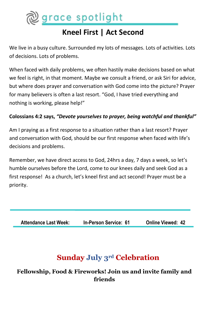

## **Kneel First | Act Second**

We live in a busy culture. Surrounded my lots of messages. Lots of activities. Lots of decisions. Lots of problems.

When faced with daily problems, we often hastily make decisions based on what we feel is right, in that moment. Maybe we consult a friend, or ask Siri for advice, but where does prayer and conversation with God come into the picture? Prayer for many believers is often a last resort. "God, I have tried everything and nothing is working, please help!"

#### **Colossians 4:2 says,** *"Devote yourselves to prayer, being watchful and thankful"*

Am I praying as a first response to a situation rather than a last resort? Prayer and conversation with God, should be our first response when faced with life's decisions and problems.

Remember, we have direct access to God, 24hrs a day, 7 days a week, so let's humble ourselves before the Lord, come to our knees daily and seek God as a first response! As a church, let's kneel first and act second! Prayer must be a priority.

**Attendance Last Week: In-Person Service: 61 Online Viewed: 42**

### **Sunday July 3rd Celebration**

**Fellowship, Food & Fireworks! Join us and invite family and friends**